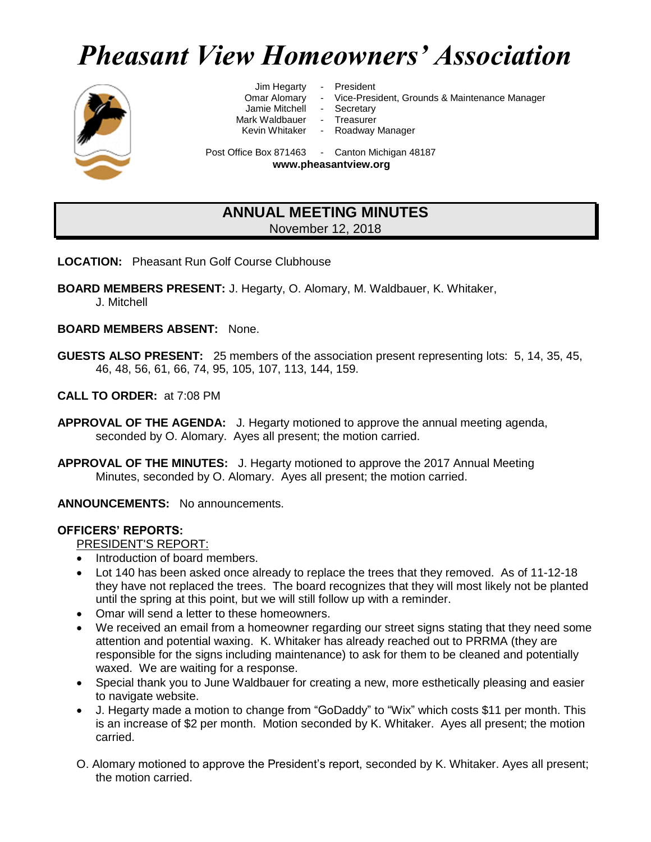# *Pheasant View Homeowners' Association*



Jim Hegarty - President

Jamie Mitchell - Secretary

Mark Waldbauer - Treasurer<br>Kevin Whitaker - Roadway

Omar Alomary - Vice-President, Grounds & Maintenance Manager

Roadway Manager

Post Office Box 871463 - Canton Michigan 48187

**www.pheasantview.org**

# **ANNUAL MEETING MINUTES** November 12, 2018

**LOCATION:** Pheasant Run Golf Course Clubhouse

**BOARD MEMBERS PRESENT:** J. Hegarty, O. Alomary, M. Waldbauer, K. Whitaker,

J. Mitchell

# **BOARD MEMBERS ABSENT:** None.

- **GUESTS ALSO PRESENT:** 25 members of the association present representing lots: 5, 14, 35, 45, 46, 48, 56, 61, 66, 74, 95, 105, 107, 113, 144, 159.
- **CALL TO ORDER:** at 7:08 PM
- **APPROVAL OF THE AGENDA:** J. Hegarty motioned to approve the annual meeting agenda, seconded by O. Alomary. Ayes all present; the motion carried.
- **APPROVAL OF THE MINUTES:** J. Hegarty motioned to approve the 2017 Annual Meeting Minutes, seconded by O. Alomary. Ayes all present; the motion carried.

**ANNOUNCEMENTS:** No announcements.

# **OFFICERS' REPORTS:**

PRESIDENT'S REPORT:

- Introduction of board members.
- Lot 140 has been asked once already to replace the trees that they removed. As of 11-12-18 they have not replaced the trees. The board recognizes that they will most likely not be planted until the spring at this point, but we will still follow up with a reminder.
- Omar will send a letter to these homeowners.
- We received an email from a homeowner regarding our street signs stating that they need some attention and potential waxing. K. Whitaker has already reached out to PRRMA (they are responsible for the signs including maintenance) to ask for them to be cleaned and potentially waxed. We are waiting for a response.
- Special thank you to June Waldbauer for creating a new, more esthetically pleasing and easier to navigate website.
- J. Hegarty made a motion to change from "GoDaddy" to "Wix" which costs \$11 per month. This is an increase of \$2 per month. Motion seconded by K. Whitaker. Ayes all present; the motion carried.
- O. Alomary motioned to approve the President's report, seconded by K. Whitaker. Ayes all present; the motion carried.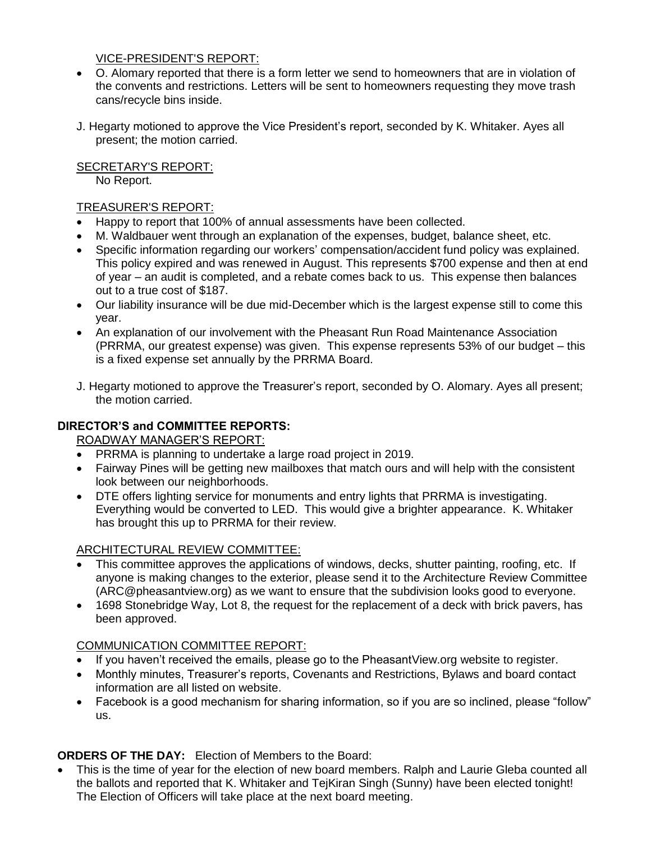#### VICE-PRESIDENT'S REPORT:

- O. Alomary reported that there is a form letter we send to homeowners that are in violation of the convents and restrictions. Letters will be sent to homeowners requesting they move trash cans/recycle bins inside.
- J. Hegarty motioned to approve the Vice President's report, seconded by K. Whitaker. Ayes all present; the motion carried.

### SECRETARY'S REPORT:

No Report.

#### TREASURER'S REPORT:

- Happy to report that 100% of annual assessments have been collected.
- M. Waldbauer went through an explanation of the expenses, budget, balance sheet, etc.
- Specific information regarding our workers' compensation/accident fund policy was explained. This policy expired and was renewed in August. This represents \$700 expense and then at end of year – an audit is completed, and a rebate comes back to us. This expense then balances out to a true cost of \$187.
- Our liability insurance will be due mid-December which is the largest expense still to come this year.
- An explanation of our involvement with the Pheasant Run Road Maintenance Association (PRRMA, our greatest expense) was given. This expense represents 53% of our budget – this is a fixed expense set annually by the PRRMA Board.
- J. Hegarty motioned to approve the Treasurer's report, seconded by O. Alomary. Ayes all present; the motion carried.

# **DIRECTOR'S and COMMITTEE REPORTS:**

ROADWAY MANAGER'S REPORT:

- PRRMA is planning to undertake a large road project in 2019.
- Fairway Pines will be getting new mailboxes that match ours and will help with the consistent look between our neighborhoods.
- DTE offers lighting service for monuments and entry lights that PRRMA is investigating. Everything would be converted to LED. This would give a brighter appearance. K. Whitaker has brought this up to PRRMA for their review.

#### ARCHITECTURAL REVIEW COMMITTEE:

- This committee approves the applications of windows, decks, shutter painting, roofing, etc. If anyone is making changes to the exterior, please send it to the Architecture Review Committee (ARC@pheasantview.org) as we want to ensure that the subdivision looks good to everyone.
- 1698 Stonebridge Way, Lot 8, the request for the replacement of a deck with brick pavers, has been approved.

#### COMMUNICATION COMMITTEE REPORT:

- If you haven't received the emails, please go to the PheasantView.org website to register.
- Monthly minutes, Treasurer's reports, Covenants and Restrictions, Bylaws and board contact information are all listed on website.
- Facebook is a good mechanism for sharing information, so if you are so inclined, please "follow" us.

#### **ORDERS OF THE DAY:** Election of Members to the Board:

• This is the time of year for the election of new board members. Ralph and Laurie Gleba counted all the ballots and reported that K. Whitaker and TejKiran Singh (Sunny) have been elected tonight! The Election of Officers will take place at the next board meeting.